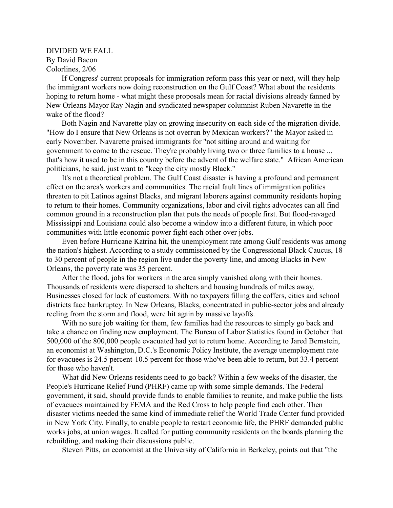## DIVIDED WE FALL By David Bacon Colorlines, 2/06

 If Congress' current proposals for immigration reform pass this year or next, will they help the immigrant workers now doing reconstruction on the Gulf Coast? What about the residents hoping to return home - what might these proposals mean for racial divisions already fanned by New Orleans Mayor Ray Nagin and syndicated newspaper columnist Ruben Navarette in the wake of the flood?

 Both Nagin and Navarette play on growing insecurity on each side of the migration divide. "How do I ensure that New Orleans is not overrun by Mexican workers?" the Mayor asked in early November. Navarette praised immigrants for "not sitting around and waiting for government to come to the rescue. They're probably living two or three families to a house ... that's how it used to be in this country before the advent of the welfare state." African American politicians, he said, just want to "keep the city mostly Black."

 It's not a theoretical problem. The Gulf Coast disaster is having a profound and permanent effect on the area's workers and communities. The racial fault lines of immigration politics threaten to pit Latinos against Blacks, and migrant laborers against community residents hoping to return to their homes. Community organizations, labor and civil rights advocates can all find common ground in a reconstruction plan that puts the needs of people first. But flood-ravaged Mississippi and Louisiana could also become a window into a different future, in which poor communities with little economic power fight each other over jobs.

 Even before Hurricane Katrina hit, the unemployment rate among Gulf residents was among the nation's highest. According to a study commissioned by the Congressional Black Caucus, 18 to 30 percent of people in the region live under the poverty line, and among Blacks in New Orleans, the poverty rate was 35 percent.

 After the flood, jobs for workers in the area simply vanished along with their homes. Thousands of residents were dispersed to shelters and housing hundreds of miles away. Businesses closed for lack of customers. With no taxpayers filling the coffers, cities and school districts face bankruptcy. In New Orleans, Blacks, concentrated in public-sector jobs and already reeling from the storm and flood, were hit again by massive layoffs.

With no sure job waiting for them, few families had the resources to simply go back and take a chance on finding new employment. The Bureau of Labor Statistics found in October that 500,000 of the 800,000 people evacuated had yet to return home. According to Jared Bernstein, an economist at Washington, D.C.'s Economic Policy Institute, the average unemployment rate for evacuees is 24.5 percent-10.5 percent for those who've been able to return, but 33.4 percent for those who haven't.

 What did New Orleans residents need to go back? Within a few weeks of the disaster, the People's Hurricane Relief Fund (PHRF) came up with some simple demands. The Federal government, it said, should provide funds to enable families to reunite, and make public the lists of evacuees maintained by FEMA and the Red Cross to help people find each other. Then disaster victims needed the same kind of immediate relief the World Trade Center fund provided in New York City. Finally, to enable people to restart economic life, the PHRF demanded public works jobs, at union wages. It called for putting community residents on the boards planning the rebuilding, and making their discussions public.

Steven Pitts, an economist at the University of California in Berkeley, points out that "the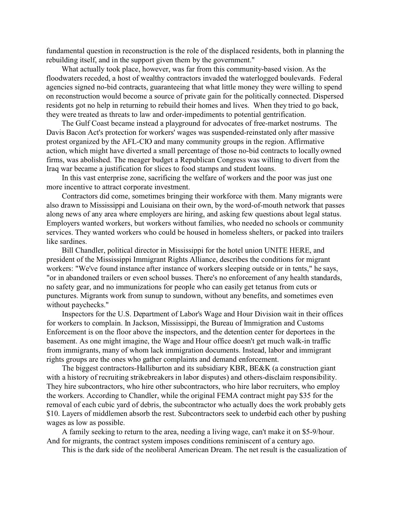fundamental question in reconstruction is the role of the displaced residents, both in planning the rebuilding itself, and in the support given them by the government."

 What actually took place, however, was far from this community-based vision. As the floodwaters receded, a host of wealthy contractors invaded the waterlogged boulevards. Federal agencies signed no-bid contracts, guaranteeing that what little money they were willing to spend on reconstruction would become a source of private gain for the politically connected. Dispersed residents got no help in returning to rebuild their homes and lives. When they tried to go back, they were treated as threats to law and order-impediments to potential gentrification.

 The Gulf Coast became instead a playground for advocates of free-market nostrums. The Davis Bacon Act's protection for workers' wages was suspended-reinstated only after massive protest organized by the AFL-CIO and many community groups in the region. Affirmative action, which might have diverted a small percentage of those no-bid contracts to locally owned firms, was abolished. The meager budget a Republican Congress was willing to divert from the Iraq war became a justification for slices to food stamps and student loans.

 In this vast enterprise zone, sacrificing the welfare of workers and the poor was just one more incentive to attract corporate investment.

 Contractors did come, sometimes bringing their workforce with them. Many migrants were also drawn to Mississippi and Louisiana on their own, by the word-of-mouth network that passes along news of any area where employers are hiring, and asking few questions about legal status. Employers wanted workers, but workers without families, who needed no schools or community services. They wanted workers who could be housed in homeless shelters, or packed into trailers like sardines.

 Bill Chandler, political director in Mississippi for the hotel union UNITE HERE, and president of the Mississippi Immigrant Rights Alliance, describes the conditions for migrant workers: "We've found instance after instance of workers sleeping outside or in tents," he says, "or in abandoned trailers or even school busses. There's no enforcement of any health standards, no safety gear, and no immunizations for people who can easily get tetanus from cuts or punctures. Migrants work from sunup to sundown, without any benefits, and sometimes even without paychecks."

 Inspectors for the U.S. Department of Labor's Wage and Hour Division wait in their offices for workers to complain. In Jackson, Mississippi, the Bureau of Immigration and Customs Enforcement is on the floor above the inspectors, and the detention center for deportees in the basement. As one might imagine, the Wage and Hour office doesn't get much walk-in traffic from immigrants, many of whom lack immigration documents. Instead, labor and immigrant rights groups are the ones who gather complaints and demand enforcement.

 The biggest contractors-Halliburton and its subsidiary KBR, BE&K (a construction giant with a history of recruiting strikebreakers in labor disputes) and others-disclaim responsibility. They hire subcontractors, who hire other subcontractors, who hire labor recruiters, who employ the workers. According to Chandler, while the original FEMA contract might pay \$35 for the removal of each cubic yard of debris, the subcontractor who actually does the work probably gets \$10. Layers of middlemen absorb the rest. Subcontractors seek to underbid each other by pushing wages as low as possible.

 A family seeking to return to the area, needing a living wage, can't make it on \$5-9/hour. And for migrants, the contract system imposes conditions reminiscent of a century ago.

This is the dark side of the neoliberal American Dream. The net result is the casualization of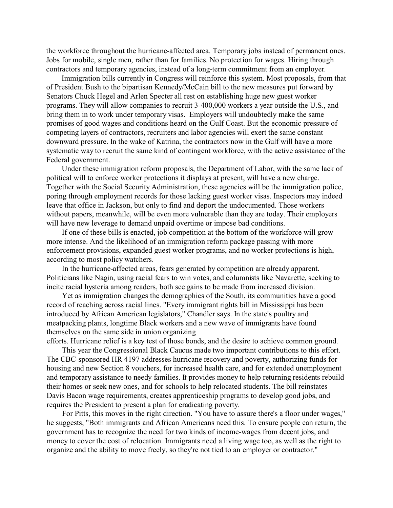the workforce throughout the hurricane-affected area. Temporary jobs instead of permanent ones. Jobs for mobile, single men, rather than for families. No protection for wages. Hiring through contractors and temporary agencies, instead of a long-term commitment from an employer.

 Immigration bills currently in Congress will reinforce this system. Most proposals, from that of President Bush to the bipartisan Kennedy/McCain bill to the new measures put forward by Senators Chuck Hegel and Arlen Specter all rest on establishing huge new guest worker programs. They will allow companies to recruit 3-400,000 workers a year outside the U.S., and bring them in to work under temporary visas. Employers will undoubtedly make the same promises of good wages and conditions heard on the Gulf Coast. But the economic pressure of competing layers of contractors, recruiters and labor agencies will exert the same constant downward pressure. In the wake of Katrina, the contractors now in the Gulf will have a more systematic way to recruit the same kind of contingent workforce, with the active assistance of the Federal government.

 Under these immigration reform proposals, the Department of Labor, with the same lack of political will to enforce worker protections it displays at present, will have a new charge. Together with the Social Security Administration, these agencies will be the immigration police, poring through employment records for those lacking guest worker visas. Inspectors may indeed leave that office in Jackson, but only to find and deport the undocumented. Those workers without papers, meanwhile, will be even more vulnerable than they are today. Their employers will have new leverage to demand unpaid overtime or impose bad conditions.

 If one of these bills is enacted, job competition at the bottom of the workforce will grow more intense. And the likelihood of an immigration reform package passing with more enforcement provisions, expanded guest worker programs, and no worker protections is high, according to most policy watchers.

 In the hurricane-affected areas, fears generated by competition are already apparent. Politicians like Nagin, using racial fears to win votes, and columnists like Navarette, seeking to incite racial hysteria among readers, both see gains to be made from increased division.

 Yet as immigration changes the demographics of the South, its communities have a good record of reaching across racial lines. "Every immigrant rights bill in Mississippi has been introduced by African American legislators," Chandler says. In the state's poultry and meatpacking plants, longtime Black workers and a new wave of immigrants have found themselves on the same side in union organizing

efforts. Hurricane relief is a key test of those bonds, and the desire to achieve common ground.

 This year the Congressional Black Caucus made two important contributions to this effort. The CBC-sponsored HR 4197 addresses hurricane recovery and poverty, authorizing funds for housing and new Section 8 vouchers, for increased health care, and for extended unemployment and temporary assistance to needy families. It provides money to help returning residents rebuild their homes or seek new ones, and for schools to help relocated students. The bill reinstates Davis Bacon wage requirements, creates apprenticeship programs to develop good jobs, and requires the President to present a plan for eradicating poverty.

 For Pitts, this moves in the right direction. "You have to assure there's a floor under wages," he suggests, "Both immigrants and African Americans need this. To ensure people can return, the government has to recognize the need for two kinds of income-wages from decent jobs, and money to cover the cost of relocation. Immigrants need a living wage too, as well as the right to organize and the ability to move freely, so they're not tied to an employer or contractor."